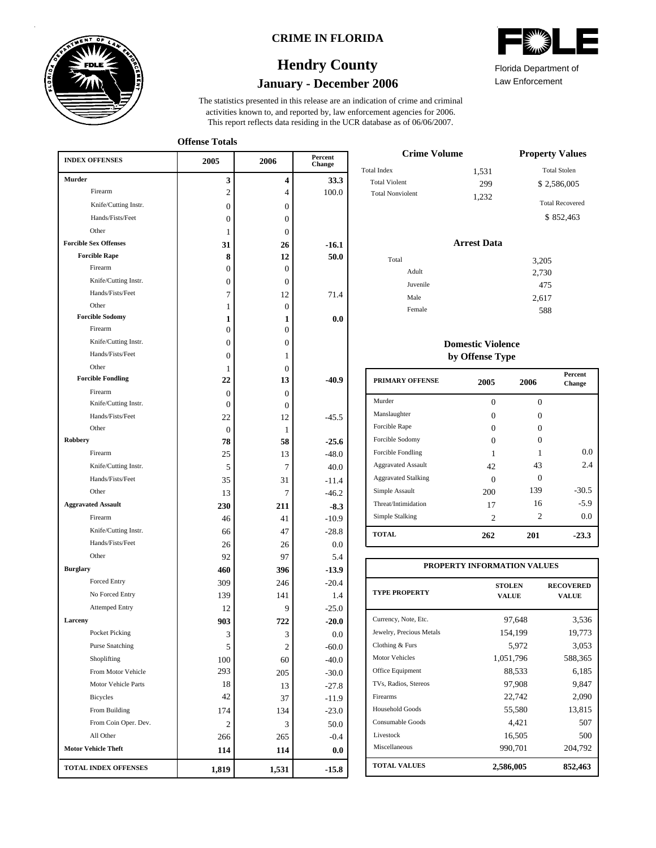

#### **CRIME IN FLORIDA**

## **January - December 2006 Hendry County**

This report reflects data residing in the UCR database as of 06/06/2007. activities known to, and reported by, law enforcement agencies for 2006. The statistics presented in this release are an indication of crime and criminal

**Offense Totals**

| <b>INDEX OFFENSES</b>        | 2005           | 2006             | Percent<br>Change |
|------------------------------|----------------|------------------|-------------------|
| <b>Murder</b>                | 3              | 4                | 33.3              |
| Firearm                      | $\overline{2}$ | 4                | 100.0             |
| Knife/Cutting Instr.         | 0              | $\Omega$         |                   |
| Hands/Fists/Feet             | 0              | $\Omega$         |                   |
| Other                        | 1              | $\Omega$         |                   |
| <b>Forcible Sex Offenses</b> | 31             | 26               | $-16.1$           |
| <b>Forcible Rape</b>         | 8              | 12               | 50.0              |
| Firearm                      | 0              | 0                |                   |
| Knife/Cutting Instr.         | 0              | 0                |                   |
| Hands/Fists/Feet             | 7              | 12               | 71.4              |
| Other                        | 1              | $\boldsymbol{0}$ |                   |
| <b>Forcible Sodomy</b>       | 1              | 1                | 0.0               |
| Firearm                      | 0              | $\overline{0}$   |                   |
| Knife/Cutting Instr.         | 0              | 0                |                   |
| Hands/Fists/Feet             | 0              | 1                |                   |
| Other                        | 1              | 0                |                   |
| <b>Forcible Fondling</b>     | 22             | 13               | -40.9             |
| Firearm                      | 0              | $\Omega$         |                   |
| Knife/Cutting Instr.         | $\theta$       | $\Omega$         |                   |
| Hands/Fists/Feet             | 22             | 12               | $-45.5$           |
| Other                        | $\Omega$       | 1                |                   |
| Robbery                      | 78             | 58               | $-25.6$           |
| Firearm                      | 25             | 13               | $-48.0$           |
| Knife/Cutting Instr.         | 5              | 7                | 40.0              |
| Hands/Fists/Feet             | 35             | 31               | $-11.4$           |
| Other                        | 13             | 7                | $-46.2$           |
| <b>Aggravated Assault</b>    | 230            | 211              | $-8.3$            |
| Firearm                      | 46             | 41               | $-10.9$           |
| Knife/Cutting Instr.         | 66             | 47               | $-28.8$           |
| Hands/Fists/Feet             | 26             | 26               | 0.0               |
| Other                        | 92             | 97               | 5.4               |
| <b>Burglary</b>              | 460            | 396              | $-13.9$           |
| <b>Forced Entry</b>          | 309            | 246              | $-20.4$           |
| No Forced Entry              | 139            | 141              | 1.4               |
| <b>Attemped Entry</b>        | 12             | 9                | $-25.0$           |
| Larceny                      | 903            | 722              | $-20.0$           |
| Pocket Picking               | $\sqrt{3}$     | 3                | $0.0\,$           |
| <b>Purse Snatching</b>       | 5              | 2                | $-60.0$           |
| Shoplifting                  | 100            | 60               | $-40.0$           |
| From Motor Vehicle           | 293            | 205              | $-30.0$           |
| Motor Vehicle Parts          | 18             | 13               | $-27.8$           |
| Bicycles                     | 42             | 37               | $-11.9$           |
| From Building                | 174            | 134              | $-23.0$           |
| From Coin Oper. Dev.         | 2              | 3                | 50.0              |
| All Other                    | 266            | 265              | $-0.4$            |
| <b>Motor Vehicle Theft</b>   | 114            | 114              | $0.0\,$           |
| <b>TOTAL INDEX OFFENSES</b>  | 1,819          | 1,531            | $-15.8$           |

| Florida Department of |  |
|-----------------------|--|

Law Enforcement

| <b>Crime Volume</b>     | <b>Property Values</b> |                        |
|-------------------------|------------------------|------------------------|
| Total Index             | 1,531                  | <b>Total Stolen</b>    |
| <b>Total Violent</b>    | 299                    | \$2,586,005            |
| <b>Total Nonviolent</b> | 1.232                  | <b>Total Recovered</b> |
|                         |                        | \$852.463              |

#### **Arrest Data**

| Total    | 3,205 |
|----------|-------|
| Adult    | 2,730 |
| Juvenile | 475   |
| Male     | 2,617 |
| Female   | 588   |

### **Domestic Violence by Offense Type**

| <b>PRIMARY OFFENSE</b>     | 2005     | 2006     | <b>Percent</b><br>Change |
|----------------------------|----------|----------|--------------------------|
| Murder                     | $\Omega$ | $\Omega$ |                          |
| Manslaughter               | 0        | 0        |                          |
| Forcible Rape              | 0        | 0        |                          |
| Forcible Sodomy            | Ω        | 0        |                          |
| Forcible Fondling          | 1        |          | 0.0                      |
| <b>Aggravated Assault</b>  | 42       | 43       | 2.4                      |
| <b>Aggravated Stalking</b> | Ω        | 0        |                          |
| Simple Assault             | 200      | 139      | $-30.5$                  |
| Threat/Intimidation        | 17       | 16       | $-5.9$                   |
| Simple Stalking            | 2        | 2        | 0.0                      |
| <b>TOTAL</b>               | 262      | 201      | $-23.3$                  |

| PROPERTY INFORMATION VALUES |                               |                           |  |  |  |  |
|-----------------------------|-------------------------------|---------------------------|--|--|--|--|
| <b>TYPE PROPERTY</b>        | <b>STOLEN</b><br><b>VALUE</b> | <b>RECOVERED</b><br>VALUE |  |  |  |  |
| Currency, Note, Etc.        | 97,648                        | 3,536                     |  |  |  |  |
| Jewelry, Precious Metals    | 154,199                       | 19,773                    |  |  |  |  |
| Clothing & Furs             | 5,972                         | 3,053                     |  |  |  |  |
| Motor Vehicles              | 1,051,796                     | 588,365                   |  |  |  |  |
| Office Equipment            | 88,533                        | 6,185                     |  |  |  |  |
| TVs, Radios, Stereos        | 97,908                        | 9,847                     |  |  |  |  |
| Firearms                    | 22,742                        | 2,090                     |  |  |  |  |
| <b>Household Goods</b>      | 55,580                        | 13,815                    |  |  |  |  |
| Consumable Goods            | 4,421                         | 507                       |  |  |  |  |
| Livestock                   | 16,505                        | 500                       |  |  |  |  |
| Miscellaneous               | 990,701                       | 204,792                   |  |  |  |  |
| <b>TOTAL VALUES</b>         | 2,586,005                     | 852,463                   |  |  |  |  |